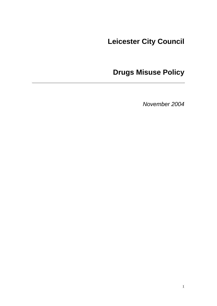# **Leicester City Council**

# **Drugs Misuse Policy**

*November 2004*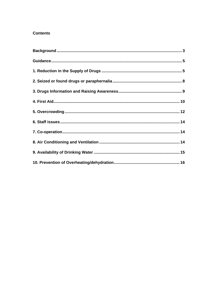### **Contents**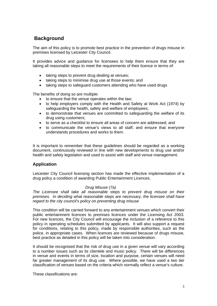# <span id="page-2-0"></span> **Background**

The aim of this policy is to promote best practice in the prevention of drugs misuse in premises licensed by Leicester City Council.

It provides advice and guidance for licensees to help them ensure that they are taking all reasonable steps to meet the requirements of their licence in terms of:

- taking steps to prevent drug dealing at venues;
- taking steps to minimise drug use at those events; and
- taking steps to safeguard customers attending who have used drugs

The benefits of doing so are multiple:

- to ensure that the venue operates within the law;
- to help employers comply with the Health and Safety at Work Act (1974) by safeguarding the health, safety and welfare of employees;
- to demonstrate that venues are committed to safeguarding the welfare of its drug using customers;
- to serve as a checklist to ensure all areas of concern are addressed; and
- to communicate the venue's views to all staff, and ensure that everyone understands procedures and works to them.

It is important to remember that these guidelines should be regarded as a working document, continuously reviewed in line with new developments to drug use and/or health and safety legislation and used to assist with staff and venue management.

### **Application**

Leicester City Council licensing section has made the effective implementation of a drug policy a condition of awarding Public Entertainment Licences.

#### *Drug Misuse (7a)*

*The Licensee shall take all reasonable steps to prevent drug misuse on their premises. In deciding what reasonable steps are necessary, the licensee shall have regard to the city council's policy on preventing drug misuse* 

This condition will be carried forward to any entertainment venues which convert their public entertainment licences to premises licences under the Licensing Act 2003. For new licences, the City Council will encourage the inclusion of a reference to this policy in operating schedules submitted by applicants. It will also support a request for conditions, relating to this policy, made by responsible authorities, such as the police, in appropriate cases. When licences are reviewed because of drugs misuse, best practice as detailed in this policy will be taken into consideration.

It should be recognised that the risk of drug use in a given venue will vary according to a number issues such as its clientele and music policy. There will be differences in venue and events in terms of size, location and purpose, certain venues will need far greater management of its drug use. Where possible, we have used a two tier classification of venues based on the criteria which normally reflect a venue's culture.

These classifications are: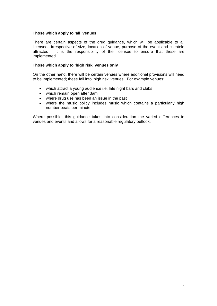#### **Those which apply to 'all' venues**

There are certain aspects of the drug guidance, which will be applicable to all licensees irrespective of size, location of venue, purpose of the event and clientele attracted. It is the responsibility of the licensee to ensure that these are implemented.

#### **Those which apply to 'high risk' venues only**

On the other hand, there will be certain venues where additional provisions will need to be implemented; these fall into 'high risk' venues. For example venues:

- which attract a young audience i.e. late night bars and clubs
- which remain open after 3am
- where drug use has been an issue in the past
- where the music policy includes music which contains a particularly high number beats per minute

Where possible, this guidance takes into consideration the varied differences in venues and events and allows for a reasonable regulatory outlook.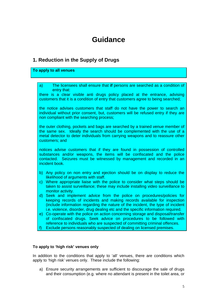# **Guidance**

## <span id="page-4-0"></span>**1. Reduction in the Supply of Drugs**

#### **To apply to all venues**

- a) The licensees shall ensure that **if** persons are searched as a condition of entry that: there is a clear visible anti drugs policy placed at the entrance, advising customers that it is a condition of entry that customers agree to being searched; the notice advises customers that staff do not have the power to search an individual without prior consent, but, customers will be refused entry if they are non compliant with the searching process; the outer clothing, pockets and bags are searched by a trained venue member of the same sex. Ideally the search should be complemented with the use of a metal detector to deter individuals from carrying weapons and to reassure other customers; and notices advise customers that if they are found in possession of controlled substances and/or weapons, the items will be confiscated and the police contacted. Seizures must be witnessed by management and recorded in an incident book. b) Any policy on non entry and ejection should be on display to reduce the likelihood of arguments with staff. c) Where appropriate liaise with the police to consider what steps should be taken to assist surveillance; these may include installing video surveillance to monitor activity. d) Seek and implement advice from the police on procedures/policies for keeping records of incidents and making records available for inspection (include information regarding the nature of the incident, the type of incident i.e. violence, disorder, drug dealing etc and the specific information required. e) Co-operate with the police on action concerning storage and disposal/transfer
- of confiscated drugs. Seek advice on procedures to be followed with reference to individuals who are suspected of committing criminal offences.
- Exclude persons reasonably suspected of dealing on licensed premises.

#### **To apply to 'high risk' venues only**

In addition to the conditions that apply to 'all' venues, there are conditions which apply to 'high risk' venues only. These include the following:

a) Ensure security arrangements are sufficient to discourage the sale of drugs and their consumption (e.g. where no attendant is present in the toilet area, or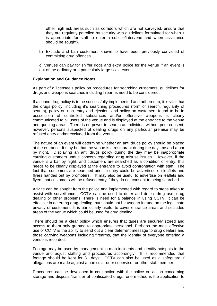other high risk areas such as corridors which are not surveyed, ensure that they are regularly patrolled by security with guidelines formulated for when it is appropriate for staff to enter a cubicle/intervene and when assistance should be sought).

b) Exclude and ban customers known to have been previously convicted of committing drug offences.

c) Venues can pay for sniffer dogs and extra police for the venue if an event is out of the ordinary or a particularly large scale event.

#### **Explanation and Guidance Notes**

As part of a licensee's policy on procedures for searching customers, guidelines for drugs and weapons searches including firearms need to be considered.

If a sound drug policy is to be successfully implemented and adhered to, it is vital that the drugs policy, including it's searching procedures (form of search, regularity of search), policy on non entry and ejection; and policy on customers found to be in possession of controlled substances and/or offensive weapons is clearly communicated to all users of the venue and is displayed at the entrance to the venue and queuing areas. There is no power to search an individual without prior consent, however, persons suspected of dealing drugs on any particular premise may be refused entry and/or excluded from the venue.

The nature of an event will determine whether an anti drugs policy should be placed at the entrance. It may be that the venue is a restaurant during the daytime and a bar by night. Displaying an anti drugs policy during the day may be inappropriate causing customers undue concern regarding drug misuse issues. However, if the venue is a bar by night, and customers are searched as a condition of entry, this needs to be clearly displayed at the entrance to avoid confrontation with staff. The fact that customers are searched prior to entry could be advertised on leaflets and flyers handed out by promoters. It may also be useful to advertise on leaflets and flyers that customers will be refused entry if they do not consent to being searched.

Advice can be sought from the police and implemented with regard to steps taken to assist with surveillance. CCTV can be used to deter and detect drug use, drug dealing or other problems. There is need for a balance in using CCTV. It can be effective in deterring drug dealing, but should not be used to intrude on the legitimate privacy of customers. It is particularly useful to cover entrance areas and secluded areas of the venue which could be used for drug dealing.

There should be a clear policy which ensures that tapes are securely stored and access to them only granted to appropriate personnel. Perhaps the most effective use of CCTV is the ability to send out a clear deterrent message to drug dealers and those carrying weapons including firearms, that the identity of everyone entering a venue is recorded.

Footage may be used by management to map incidents and identify hotspots in the venue and adjust staffing and procedures accordingly. It is recommended that footage should be kept for 31 days. CCTV can also be used as a safeguard if allegations are made against a particular door supervisor or other staff member.

Procedures can be developed in conjunction with the police on action concerning storage and disposal/transfer of confiscated drugs; one method is the application to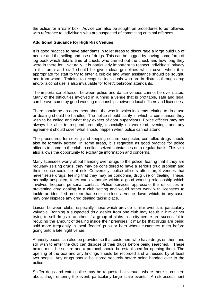the police for a 'safe' box. Advice can also be sought on procedures to be followed with reference to individuals who are suspected of committing criminal offences.

#### **Additional Guidance for High Risk Venues**

It is good practice to have attendants in toilet areas to discourage a large build up of people and the selling and use of drugs. This can be logged by having some form of log book which details time of check, who carried out the check and how long they were in there for. Naturally, it is particularly important to respect individuals' privacy in this area and staff should be given clear guidelines which cover when it is appropriate for staff to try to enter a cubicle and when assistance should be sought, and from whom. Training to recognise individuals who are in distress through drug and/or alcohol use is also invaluable for toilet/cloakroom attendants.

The importance of liaison between police and dance venues cannot be over-stated. Many of the difficulties involved in running a venue that is profitable, safe and legal can be overcome by good working relationships between local officers and licensees.

There should be an agreement about the way in which incidents relating to drug use or dealing should be handled. The police should clarify in which circumstances they wish to be called and what they expect of door supervisors. Police officers may not always be able to respond promptly, especially on weekend evenings and any agreement should cover what should happen when police cannot attend.

The procedures for seizing and keeping secure, suspected controlled drugs should also be formally agreed. In some areas, it is regarded as good practice for police officers to come to the club to collect seized substances on a regular basis. This visit also allows the opportunity to exchange information and concerns.

Many licensees worry about handing over drugs to the police, fearing that if they are regularly seizing drugs, they may be considered to have a serious drug problem and their licence could be at risk. Conversely, police officers often target venues that never seize drugs, feeling that they may be condoning drug use or dealing. These, normally unspoken, fears can evaporate within a good working relationship which involves frequent personal contact. Police services appreciate the difficulties in preventing drug dealing in a club setting and would rather work with licensees to tackle an identified problem than seek to close a venue down, which, in any case, may only displace any drug dealing taking place.

Liaison between clubs, especially those which provide similar events is particularly valuable. Banning a suspected drug dealer from one club may result in him or her trying to sell drugs in another. If a group of clubs in a city centre are successful in reducing the amount of dealing inside their premises, it may be that drugs are being sold more frequently in local 'feeder' pubs or bars where customers meet before going onto a late night venue.

Amnesty boxes can also be provided so that customers who have drugs on them and still wish to enter the club can dispose of their drugs before being searched. These boxes must be secure and a protocol should be established for opening them. The opening of the box and any findings should be recorded and witnessed by at least two people. Any drugs should be stored securely before being handed over to the police.

Sniffer dogs and extra police may be requested at venues where there is concern about drugs entering the event, particularly large scale events. A risk assessment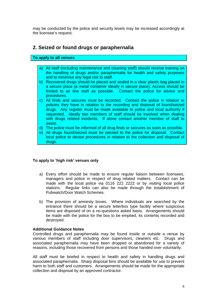<span id="page-7-0"></span>may be conducted by the police and security levels may be increased accordingly at the licensee's request.

### **2. Seized or found drugs or paraphernalia**

#### **To apply to all venues**

- a) All staff (including maintenance and cleaning staff) should receive training on the handling of drugs and/or paraphernalia for health and safety purposes and to minimise any legal risk to staff.
- b) Recovered drugs should be placed and sealed in a clear plastic bag placed in a secure place (a metal container ideally in secure place). Access should be limited to as few staff as possible. Contact the police for advice and procedures.
- c) All finds and seizures must be recorded. Contact the police in relation to policies they have in relation to the recording and disposal of found/seized drugs. Any register must be made available to police and local authority if requested. Ideally two members of staff should be involved when dealing with drugs related incidents. If alone contact another member of staff to assist.
- d) The police must be informed of all drug finds or seizures as soon as possible.
- e) All drugs found/seized must be passed to the police for disposal. Contact local police to devise procedures in relation to the collection and disposal of drugs.

#### **To apply to 'high risk' venues only**

- a) Every effort should be made to ensure regular liaison between licensees, managers and police in respect of drug related matters. Contact can be made with the local police via 0116 222 2222 or by visiting local police stations. Regular links can also be made through the establishment of Pubwatch/Door Watch Schemes.
- b) The provision of amnesty boxes. Where individuals are searched by the entrance there should be a secure letterbox type facility where suspicious items are disposed of on a no-questions asked basis. Arrangements should be made with the police for the box to be emptied, its contents recorded and destroyed.

#### **Additional Guidance Notes**

Controlled drugs and paraphernalia may be found inside or outside a venue by various members of staff including door supervisors, cleaners etc. Drugs and associated paraphernalia may have been dropped or abandoned for a variety of reasons, including those recovered from persons and those handed over voluntarily.

All staff must be briefed in respect to health and safety in handling drugs and associated paraphernalia. Sharp disposal bins should be available for use to prevent harm to both staff and customers. Arrangements should be made for the appropriate collection and disposal by an approved contractor.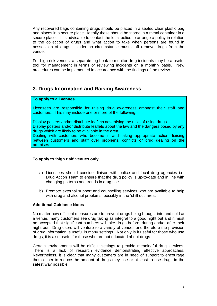<span id="page-8-0"></span>Any recovered bags containing drugs should be placed in a sealed clear plastic bag and places in a secure place. Ideally these should be stored in a metal container in a secure place. It is advisable to contact the local police to arrange a policy in relation to the collection of drugs and what action to take when persons are found in possession of drugs. Under no circumstance must staff remove drugs from the venue.

For high risk venues, a separate log book to monitor drug incidents may be a useful tool for management in terms of reviewing incidents on a monthly basis. New procedures can be implemented in accordance with the findings of the review.

## **3. Drugs Information and Raising Awareness**

#### **To apply to all venues**

Licensees are responsible for raising drug awareness amongst their staff and customers. This may include one or more of the following:

Display posters and/or distribute leaflets advertising the risks of using drugs. Display posters and/or distribute leaflets about the law and the dangers posed by any

drugs which are likely to be available in the area.

Dealing with customers who become ill and taking appropriate action, liaising between customers and staff over problems, conflicts or drug dealing on the premises.

### **To apply to 'high risk' venues only**

- a) Licensees should consider liaison with police and local drug agencies i.e. Drug Action Team to ensure that the drug policy is up-to-date and in line with changing patterns and trends in drug use.
- b) Promote external support and counselling services who are available to help with drug and alcohol problems, possibly in the 'chill out' area.

#### **Additional Guidance Notes**

No matter how efficient measures are to prevent drugs being brought into and sold at a venue, many customers see drug taking as integral to a good night out and it must be accepted that significant numbers will take drugs before, during and/or after their night out. Drug users will venture to a variety of venues and therefore the provision of drug information is useful in many settings. Not only is it useful for those who use drugs, it is also useful for those who are not educated about drugs.

Certain environments will be difficult settings to provide meaningful drug services. There is a lack of research evidence demonstrating effective approaches. Nevertheless, it is clear that many customers are in need of support to encourage them either to reduce the amount of drugs they use or at least to use drugs in the safest way possible.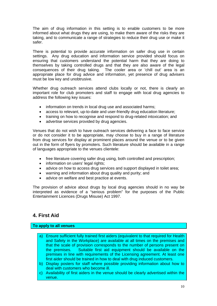<span id="page-9-0"></span>The aim of drug information in this setting is to enable customers to be more informed about what drugs they are using, to make them aware of the risks they are taking, and to communicate a range of strategies to reduce their drug use or make it safer.

There is potential to provide accurate information on safer drug use in certain settings. Any drug education and information service provided should focus on ensuring that customers understand the potential harm that they are doing to themselves by taking controlled drugs and that they are also aware of the legal consequences of their drug taking. The cooler area or 'chill out' area is an appropriate place for drug advice and information, yet presence of drug advisers must be low key and unobtrusive.

Whether drug outreach services attend clubs locally or not, there is clearly an important role for club promoters and staff to engage with local drug agencies to address the following key issues:

- information on trends in local drug use and associated harms:
- access to relevant, up-to-date and user-friendly drug education literature;
- training on how to recognise and respond to drug-related intoxication; and
- advertise services provided by drug agencies.

Venues that do not wish to have outreach services delivering a face to face service or do not consider it to be appropriate, may choose to buy in a range of literature from drug services for display at prominent places around the venue or to be given out in the form of flyers by promoters. Such literature should be available in a range of languages appropriate to the venues clientele:

- free literature covering safer drug using, both controlled and prescription;
- information on users' legal rights;
- advice on how to access drug services and support displayed in toilet area;
- warning and information about drug quality and purity; and
- advice on welfare and best practice at events.

The provision of advice about drugs by local drug agencies should in no way be interpreted as evidence of a "serious problem" for the purposes of the Public Entertainment Licences (Drugs Misuse) Act 1997.

## **4. First Aid**

#### **To apply to all venues**

- a) Ensure sufficient fully trained first aiders (equivalent to that required for Health and Safety in the Workplace) are available at all times on the premises and that the scale of provision corresponds to the number of persons present on the premises. Suitable first aid equipment should be available on the premises in line with requirements of the Licensing agreement. At least one first aider should be trained in how to deal with drug induced customers.
- b) Display posters for staff where possible providing information about how to deal with customers who become ill.
- c) Availability of first aiders in the venue should be clearly advertised within the venue.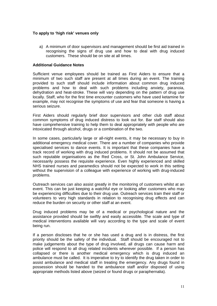#### **To apply to 'high risk' venues only**

a) A minimum of door supervisors and management should be first aid trained in recognising the signs of drug use and how to deal with drug induced customers. These should be on site at all times.

#### **Additional Guidance Notes**

Sufficient venue employees should be trained as First Aiders to ensure that a minimum of two such staff are present at all times during an event. The training provided to such staff should include information about common drug induced problems and how to deal with such problems including anxiety, paranoia, dehydration and heat-stroke. These will vary depending on the pattern of drug use locally. Staff, who for the first time encounter customers who have used ketamine for example, may not recognise the symptoms of use and fear that someone is having a serious seizure.

First Aiders should regularly brief door supervisors and other club staff about common symptoms of drug induced distress to look out for. Bar staff should also have comprehensive training to help them to deal appropriately with people who are intoxicated through alcohol, drugs or a combination of the two.

In some cases, particularly large or all-night events, it may be necessary to buy in additional emergency medical cover. There are a number of companies who provide specialised services to dance events. It is important that these companies have a track record of working with drug induced problems. It should not be assumed that such reputable organisations as the Red Cross, or St. John Ambulance Service, necessarily possess the requisite experience. Even highly experienced and skilled NHS trained nurses and paramedics should not be expected to work in this setting without the supervision of a colleague with experience of working with drug-induced problems.

Outreach services can also assist greatly in the monitoring of customers whilst at an event. This can be just keeping a watchful eye or looking after customers who may be experiencing difficulties due to their drug use. Outreach services train their staff or volunteers to very high standards in relation to recognising drug effects and can reduce the burden on security or other staff at an event.

Drug induced problems may be of a medical or psychological nature and the assistance provided should be swiftly and easily accessible. The scale and type of medical interventions available will vary according to the type and scale of event being run.

If a person discloses that he or she has used a drug and is in distress, the first priority should be the safety of the individual. Staff should be encouraged not to make judgements about the type of drug involved, all drugs can cause harm and police will respond to all drug related incidents wherever possible. If a person has collapsed or there is another medical emergency which is drug induced an ambulance must be called. It is imperative to try to identify the drug taken in order to assist ambulance and medical staff in treating the emergency. Any drugs found in possession should be handed to the ambulance staff and/or disposed of using appropriate methods listed above (seized or found drugs or paraphernalia).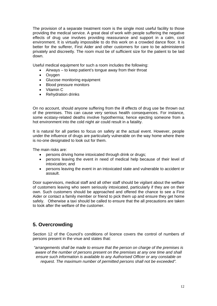<span id="page-11-0"></span>The provision of a separate treatment room is the single most useful facility to those providing the medical service. A great deal of work with people suffering the negative effects of drug use involves providing reassurance and support in a calm, cool environment. It is virtually impossible to do this work on a crowded dance floor. It is better for the sufferer, First Aider and other customers for care to be administered privately and discreetly. The room must be of sufficient size for the patient to be laid down.

Useful medical equipment for such a room includes the following:

- Airways to keep patient's tongue away from their throat
- Oxygen
- Glucose monitoring equipment
- Blood pressure monitors
- Vitamin C
- Rehydration drinks

On no account, should anyone suffering from the ill effects of drug use be thrown out of the premises. This can cause very serious health consequences. For instance, some ecstasy-related deaths involve hypothermia; hence ejecting someone from a hot environment into the cold night air could result in a fatality.

It is natural for all parties to focus on safety at the actual event. However, people under the influence of drugs are particularly vulnerable on the way home where there is no-one designated to look out for them.

The main risks are:

- persons driving home intoxicated through drink or drugs;
- persons leaving the event in need of medical help because of their level of intoxication; and
- persons leaving the event in an intoxicated state and vulnerable to accident or assault.

Door supervisors, medical staff and all other staff should be vigilant about the welfare of customers leaving who seem seriously intoxicated, particularly if they are on their own. Such customers should be approached and offered the chance to see a First Aider or contact a family member or friend to pick them up and ensure they get home safely. Otherwise a taxi should be called to ensure that the all precautions are taken to look after the welfare of the customer.

### **5. Overcrowding**

Section 12 of the Council's conditions of licence covers the control of numbers of persons present in the vnue and states that:

*"arrangements shall be made to ensure that the person on charge of the premises is aware of the number of persons present on the premises at any one time and shall ensure such information is available to any Authorised Officer or any constable on request. The maximum number of permitted persons shall not be exceeded".*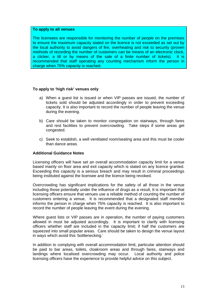#### **To apply to all venues**

The licensees are responsible for monitoring the number of people on the premises to ensure the maximum capacity stated on the licence is not exceeded as set out by the local authority to avoid dangers of fire, overheating and risk to security (proven methods of recording the number of customers can be means of an electronic clock, a clicker, a till or by means of the sale of a finite number of tickets). It is recommended that staff operating any counting mechanism inform the person in charge when 75% capacity is reached.

#### **To apply to 'high risk' venues only**

- a) When a guest list is issued or when VIP passes are issued, the number of tickets sold should be adjusted accordingly in order to prevent exceeding capacity. It is also important to record the number of people leaving the venue during the evening.
- b) Care should be taken to monitor congregation on stairways, through fares and rest facilities to prevent overcrowding. Take steps if some areas get congested.
- c) Seek to establish, a well ventilated room/seating area and this must be cooler than dance areas.

#### **Additional Guidance Notes**

Licensing officers will have set an overall accommodation capacity limit for a venue based mainly on floor area and exit capacity which is stated on any licence granted. Exceeding this capacity is a serious breach and may result in criminal proceedings being instituted against the licensee and the licence being revoked.

Overcrowding has significant implications for the safety of all those in the venue including those potentially under the influence of drugs as a result, tt is important that licensing officers ensure that venues use a reliable method of counting the number of customers entering a venue. It is recommended that a designated staff member informs the person in charge when 75% capacity is reached. It is also important to record the number of people leaving the event during the evening.

Where quest lists or VIP passes are in operation, the number of paying customers allowed in must be adjusted accordingly. It is important to clarify with licensing officers whether staff are included in the capacity limit; if half the customers are squeezed into small popular areas. Care should be taken to design the venue layout in ways which avoid this 'bottlenecking.'

In addition to complying with overall accommodation limit, particular attention should be paid to bar areas, toilets, cloakroom areas and through fares, stairways and landings where localised overcrowding may occur. Local authority and police licensing officers have the experience to provide helpful advice on this subject.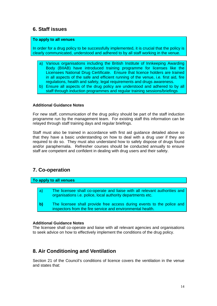### <span id="page-13-0"></span>**6. Staff issues**

#### **To apply to all venues**

In order for a drug policy to be successfully implemented, it is crucial that the policy is clearly communicated, understood and adhered to by all staff working in the venue.

- a) Various organisations including the British Institute of Innkeeping Awarding Body (BIIAB) have introduced training programme for licenses like the Licensees National Drug Certificate. Ensure that licence holders are trained in all aspects of the safe and efficient running of the venue, i.e. first aid, fire regulations, health and safety, legal requirements and drugs awareness.
- b) Ensure all aspects of the drug policy are understood and adhered to by all staff through induction programmes and regular training sessions/briefings

#### **Additional Guidance Notes**

For new staff, communication of the drug policy should be part of the staff induction programme run by the management team. For existing staff this information can be relayed through staff training days and regular briefings.

Staff must also be trained in accordance with first aid guidance detailed above so that they have a basic understanding on how to deal with a drug user if they are required to do so. They must also understand how to safely dispose of drugs found and/or paraphernalia. Refresher courses should be conducted annually to ensure staff are competent and confident in dealing with drug users and their safety.

## **7. Co-operation**

#### **To apply to all venues**

- a) The licensee shall co-operate and liaise with all relevant authorities and organisations i.e. police, local authority departments etc.
- **b)** The licensee shall provide free access during events to the police and inspectors from the fire service and environmental health.

#### **Additional Guidance Notes**

The licensee shall co-operate and liaise with all relevant agencies and organisations to seek advice on how to effectively implement the conditions of the drug policy.

## **8. Air Conditioning and Ventilation**

Section 21 of the Council's conditions of licence covers the ventilation in the venue and states that: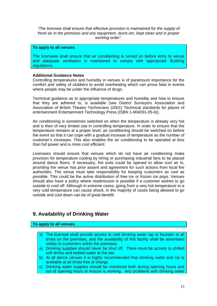<span id="page-14-0"></span>*"The licensee shall ensure that effective provision is maintained for the supply of fresh air in the premises and any equipment, ducts etc, kept clean and in proper working order".*

#### **To apply to all venues**

The licensees shall ensure that air conditioning is turned on before entry to venue and adequate ventilation is maintained to comply with appropriate Building regulations.

#### **Additional Guidance Notes**

Controlling temperatures and humidity in venues is of paramount importance for the comfort and safety of clubbers to avoid overheating which can prove fatal in events where people may be under the influence of drugs.

Technical guidance as to appropriate temperatures and humidity and how to ensure that they are adhered to, is available (see District Surveyors Association and Association of British Theatre Technicians (2001) Technical standards for places of entertainment Entertainment Technology Press (ISBN 1-904031-05-6)).

Air conditioning is sometimes switched on when the temperature is already very hot and is then of very limited use in controlling temperature. In order to ensure that the temperature remains at a proper level, air conditioning should be switched on before the event so that it can cope with a gradual increase of temperature as the number of customer's increases. This also enables the air conditioning to be operated at less than full power and is more cost efficient.

Licensees should ensure that venues which do not have air conditioning make provision for temperature cooling by hiring or purchasing industrial fans to be placed around dance floors. If necessary, fire exits could be opened to allow cool air in, providing the venue has prior assent and agreement for such actions from local fire authorities. The venue must take responsibility for keeping customers as cool as possible. This could be the active distribution of free ice or frozen ice pops. Venues should also have a policy where readmission is possible if a customer wishes to go outside to cool off. Although in extreme cases, going from a very hot temperature to a very cold temperature can cause shock, in the majority of cases being allowed to go outside and cool down can be of great benefit.

### **9. Availability of Drinking Water**

#### **To apply to all venues**

- a) The licensee shall provide access to cold drinking water tap or fountain at all times on the premises, and the availability of this facility shall be advertised widely to customers within the premises.
- a) Drinking supplies should never be shut off. There must be access to chilled soft drinks and bottled water at the bar.
- b) At all dance venues it is highly recommended that drinking water and ice is available at all times free of charge.
- c) Drinking water supplies should be monitored both during opening hours and out of opening hours to ensure is working. Any problems with drinking water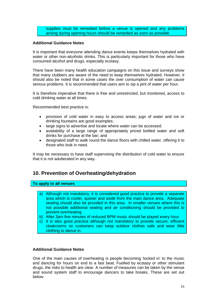supplies must be remedied before a venue is opened and any problems arising during opening hours should be remedied as soon as possible

#### <span id="page-15-0"></span>**Additional Guidance Notes**

It is important that everyone attending dance events keeps themselves hydrated with water or other non-alcoholic drinks. This is particularly important for those who have consumed alcohol and drugs, especially ecstasy.

There have been many health education campaigns on this issue and surveys show that many clubbers are aware of the need to keep themselves hydrated. However, it should also be noted that in some cases the over consumption of water can cause serious problems. It is recommended that users aim to sip a pint of water per hour.

It is therefore imperative that there is free and unrestricted, but monitored, access to cold drinking water at all times.

Recommended best practice is:

- provision of cold water in easy to access areas; jugs of water and ice or drinking fountains are good examples;
- large signs to advertise and locate where water can be accessed;
- availability of a large range of appropriately priced bottled water and soft drinks for purchase at the bar; and
- designated staff to walk round the dance floors with chilled water, offering it to those who look in need.

It may be necessary to have staff supervising the distribution of cold water to ensure that it is not adulterated in any way.

## **10. Prevention of Overheating/dehydration**

#### **To apply to all venues**

- a) Although not mandatory, it is considered good practice to provide a separate area which is cooler, quieter and aside from the main dance area. Adequate seating should also be provided in this area. In smaller venues where this is not possible additional seating and air conditioning should be provided to prevent overheating.
- b) After 3am five minutes of reduced BPM music should be played every hour.
- c) It is also good practice although not mandatory to provide secure, efficient cloakrooms so customers can keep outdoor clothes safe and wear little clothing to dance in.

#### **Additional Guidance Notes**

One of the main causes of overheating is people becoming 'locked in' to the music and dancing for hours on end to a fast beat. Fuelled by ecstasy or other stimulant drugs, the risks to health are clear. A number of measures can be taken by the venue and sound system staff to encourage dancers to take breaks. These are set out below.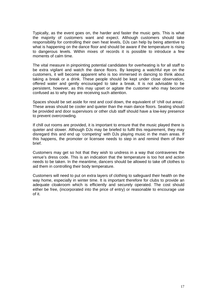Typically, as the event goes on, the harder and faster the music gets. This is what the majority of customers want and expect. Although customers should take responsibility for controlling their own heat levels, DJs can help by being attentive to what is happening on the dance floor and should be aware if the temperature is rising to dangerous levels. Within mixes of records it is possible to introduce a few moments of calm time.

The vital measure in pinpointing potential candidates for overheating is for all staff to be extra vigilant and watch the dance floors. By keeping a watchful eye on the customers, it will become apparent who is too immersed in dancing to think about taking a break or a drink. These people should be kept under close observation, offered water and gently encouraged to take a break. It is not advisable to be persistent, however, as this may upset or agitate the customer who may become confused as to why they are receiving such attention.

Spaces should be set aside for rest and cool down, the equivalent of 'chill out areas'. These areas should be cooler and quieter than the main dance floors. Seating should be provided and door supervisors or other club staff should have a low-key presence to prevent overcrowding.

If chill out rooms are provided, it is important to ensure that the music played there is quieter and slower. Although DJs may be briefed to fulfil this requirement, they may disregard this and end up 'competing' with DJs playing music in the main areas. If this happens, the promoter or licensee needs to step in and remind them of their brief.

Customers may get so hot that they wish to undress in a way that contravenes the venue's dress code. This is an indication that the temperature is too hot and action needs to be taken. In the meantime, dancers should be allowed to take off clothes to aid them in controlling their body temperature.

Customers will need to put on extra layers of clothing to safeguard their health on the way home, especially in winter time. It is important therefore for clubs to provide an adequate cloakroom which is efficiently and securely operated. The cost should either be free, (incorporated into the price of entry) or reasonable to encourage use of it.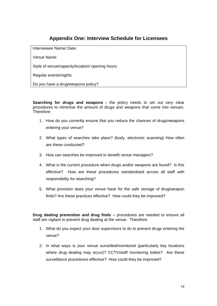## **Appendix One: Interview Schedule for Licensees**

Interviewee Name/ Date:

Venue Name:

Style of venue/capacity/location/ opening hours:

Regular events/nights

Do you have a drug/weapons policy?

**Searching for drugs and weapons -** the policy needs to set out very clear procedures to minimise the amount of drugs and weapons that come into venues. Therefore:

- 1. How do you currently ensure that you reduce the chances of drugs/weapons entering your venue?
- 2. What types of searches take place? (body, electronic scanning) How often are these conducted?
- 3. How can searches be improved to benefit venue managers?
- 4. What is the current procedure when drugs and/or weapons are found? Is this effective? How are these procedures standardised across all staff with responsibility for searching?
- 5. What provision does your venue have for the safe storage of drug/weapon finds? Are these practices effective? How could they be improved?

**Drug dealing prevention and drug finds –** procedures are needed to ensure all staff are vigilant to prevent drug dealing at the venue. Therefore:

- 1. What do you expect your door supervisors to do to prevent drugs entering the venue?
- 2. In what ways is your venue surveilled/monitored (particularly key locations where drug dealing may occur)? CCTV/staff monitoring toilets? Are these surveillance procedures effective? How could they be improved?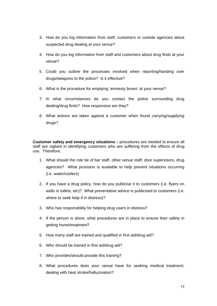- 3. How do you log information from staff, customers or outside agencies about suspected drug dealing at your venue?
- 4. How do you log information from staff and customers about drug finds at your venue?
- 5. Could you outline the processes involved when reporting/handing over drugs/weapons to the police? Is it effective?
- 6. What is the procedure for emptying 'amnesty boxes' at your venue?
- 7. In what circumstances do you contact the police surrounding drug dealing/drug finds? How responsive are they?
- 8. What actions are taken against a customer when found carrying/supplying drugs?

**Customer safety and emergency situations –** procedures are needed to ensure all staff are vigilant in identifying customers who are suffering from the effects of drug use. Therefore:

- 1. What should the role be of bar staff, other venue staff, door supervisors, drug agencies? What provision is available to help prevent situations occurring (i.e. water/coolers)
- 2. If you have a drug policy, how do you publicise it to customers (i.e. flyers on walls in toilets, etc)? What preventative advice is publicised to customers (i.e. where to seek help if in distress)?
- 3. Who has responsibility for helping drug users in distress?
- 4. If the person is alone, what procedures are in place to ensure their safety in getting home/treatment?
- 5. How many staff are trained and qualified in first aid/drug aid?
- 6. Who should be trained in first aid/drug aid?
- 7. Who provides/should provide this training?
- 8. What procedures does your venue have for seeking medical treatment, dealing with heat stroke/hallucination?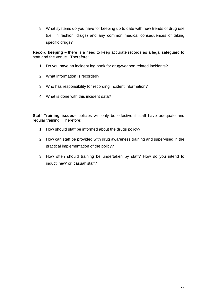9. What systems do you have for keeping up to date with new trends of drug use (i.e. 'in fashion' drugs) and any common medical consequences of taking specific drugs?

**Record keeping –** there is a need to keep accurate records as a legal safeguard to staff and the venue. Therefore:

- 1. Do you have an incident log book for drug/weapon related incidents?
- 2. What information is recorded?
- 3. Who has responsibility for recording incident information?
- 4. What is done with this incident data?

**Staff Training issues–** policies will only be effective if staff have adequate and regular training. Therefore:

- 1. How should staff be informed about the drugs policy?
- 2. How can staff be provided with drug awareness training and supervised in the practical implementation of the policy?
- 3. How often should training be undertaken by staff? How do you intend to induct 'new' or 'casual' staff?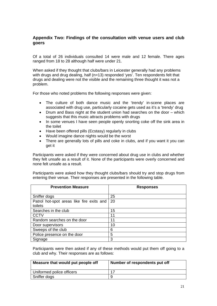### **Appendix Two: Findings of the consultation with venue users and club goers**

Of a total of 26 individuals consulted 14 were male and 12 female. There ages ranged from 18 to 28 although half were under 21.

When asked if they thought that clubs/bars in Leicester generally had any problems with drugs and drug dealing, half (n=13) responded 'yes'. Ten respondents felt that drugs and dealing were not the visible and the remaining three thought it was not a problem.

For those who noted problems the following responses were given:

- The culture of both dance music and the 'trendy' in-scene places are associated with drug use, particularly cocaine gets used as it's a 'trendy' drug
- Drum and Bass night at the student union had searches on the door which suggests that this music attracts problems with drugs
- In some venues I have seen people openly snorting coke off the sink area in the toilet
- Have been offered pills (Ecstasy) regularly in clubs
- Would imagine dance nights would be the worst
- There are generally lots of pills and coke in clubs, and if you want it you can get it

Participants were asked if they were concerned about drug use in clubs and whether they felt unsafe as a result of it. None of the participants were overly concerned and none felt unsafe as a result.

Participants were asked how they thought clubs/bars should try and stop drugs from entering their venue. Their responses are presented in the following table.

| <b>Prevention Measure</b>                 | <b>Responses</b> |
|-------------------------------------------|------------------|
|                                           |                  |
| Sniffer dogs                              | 25               |
| Patrol hot-spot areas like fire exits and | -20              |
| toilets                                   |                  |
| Searches in the club                      | 15               |
| <b>CCTV</b>                               | 11               |
| Random searches on the door               | 11               |
| Door supervisors                          | 10               |
| Sweeps of the club                        | 6                |
| Police presence on the door               | 5                |
| Signage                                   | 3                |

Participants were then asked if any of these methods would put them off going to a club and why. Their responses are as follows:

| Measure that would put people off | Number of respondents put off |
|-----------------------------------|-------------------------------|
| Uniformed police officers         |                               |
| Sniffer dogs                      |                               |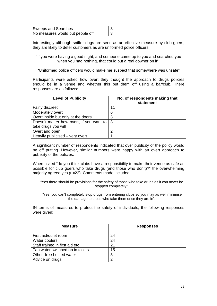| Sweeps and Searches              |  |
|----------------------------------|--|
| No measures would put people off |  |

Interestingly although sniffer dogs are seen as an effective measure by club goers, they are likely to deter customers as are uniformed police officers.

"If you were having a good night, and someone came up to you and searched you when you had nothing, that could put a real downer on it".

"Uniformed police officers would make me suspect that somewhere was unsafe"

Participants were asked how overt they thought the approach to drugs policies should be in a venue and whether this put them off using a bar/club. There responses are as follows:

| <b>Level of Publicity</b>                          | No. of respondents making that<br>statement |
|----------------------------------------------------|---------------------------------------------|
| <b>Fairly discreet</b>                             | 11                                          |
| Moderately overt                                   | 6                                           |
| Overt inside but only at the doors                 | 3                                           |
| Doesn't matter how overt, if you want to $\vert$ 3 |                                             |
| take drugs you will                                |                                             |
| Overt and open                                     | ⌒                                           |
| Heavily publicised – very overt                    |                                             |

A significant number of respondents indicated that over publicity of the policy would be off putting. However, similar numbers were happy with an overt approach to publicity of the policies.

When asked "do you think clubs have a responsibility to make their venue as safe as possible for club goers who take drugs (and those who don't)?" the overwhelming majority agreed yes (n=22). Comments made included:

"Yes there should be provisions for the safety of those who take drugs as it can never be stopped completely".

"Yes, you can't completely stop drugs from entering clubs so you may as well minimise the damage to those who take them once they are in".

IN terms of measures to protect the safety of individuals, the following responses were given:

| <b>Measure</b>                   | <b>Responses</b> |
|----------------------------------|------------------|
| First aid/quiet room             | 24               |
| Water coolers                    | 24               |
| Staff trained in first aid etc   | 21               |
| Tap water switched on in toilets | 15               |
| Other: free bottled water        | 3                |
| Advice on drugs                  | ⌒                |